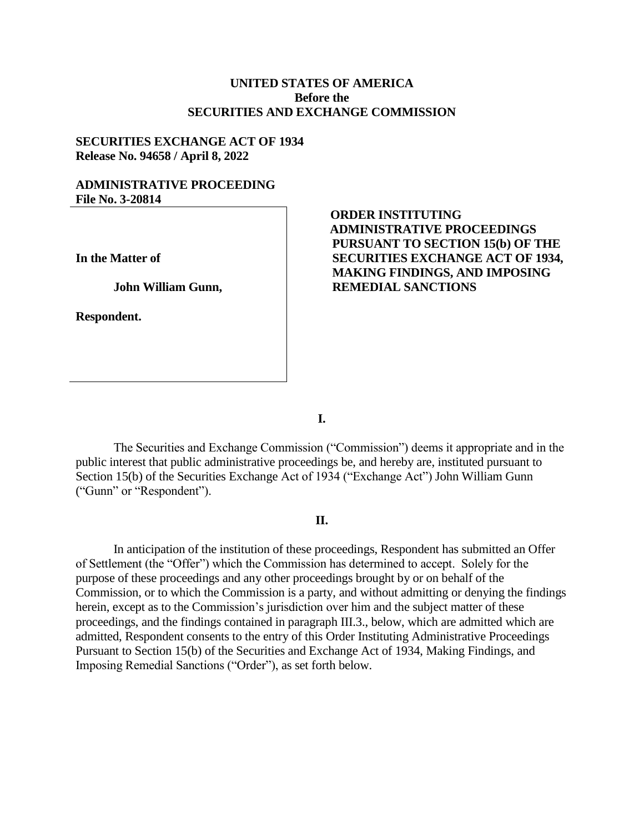## **UNITED STATES OF AMERICA Before the SECURITIES AND EXCHANGE COMMISSION**

#### **SECURITIES EXCHANGE ACT OF 1934 Release No. 94658 / April 8, 2022**

### **ADMINISTRATIVE PROCEEDING File No. 3-20814**

**In the Matter of**

**John William Gunn,** 

**Respondent.**

# **ORDER INSTITUTING ADMINISTRATIVE PROCEEDINGS PURSUANT TO SECTION 15(b) OF THE SECURITIES EXCHANGE ACT OF 1934, MAKING FINDINGS, AND IMPOSING REMEDIAL SANCTIONS**

**I.**

The Securities and Exchange Commission ("Commission") deems it appropriate and in the public interest that public administrative proceedings be, and hereby are, instituted pursuant to Section 15(b) of the Securities Exchange Act of 1934 ("Exchange Act") John William Gunn ("Gunn" or "Respondent").

### **II.**

In anticipation of the institution of these proceedings, Respondent has submitted an Offer of Settlement (the "Offer") which the Commission has determined to accept. Solely for the purpose of these proceedings and any other proceedings brought by or on behalf of the Commission, or to which the Commission is a party, and without admitting or denying the findings herein, except as to the Commission's jurisdiction over him and the subject matter of these proceedings, and the findings contained in paragraph III.3., below, which are admitted which are admitted, Respondent consents to the entry of this Order Instituting Administrative Proceedings Pursuant to Section 15(b) of the Securities and Exchange Act of 1934, Making Findings, and Imposing Remedial Sanctions ("Order"), as set forth below.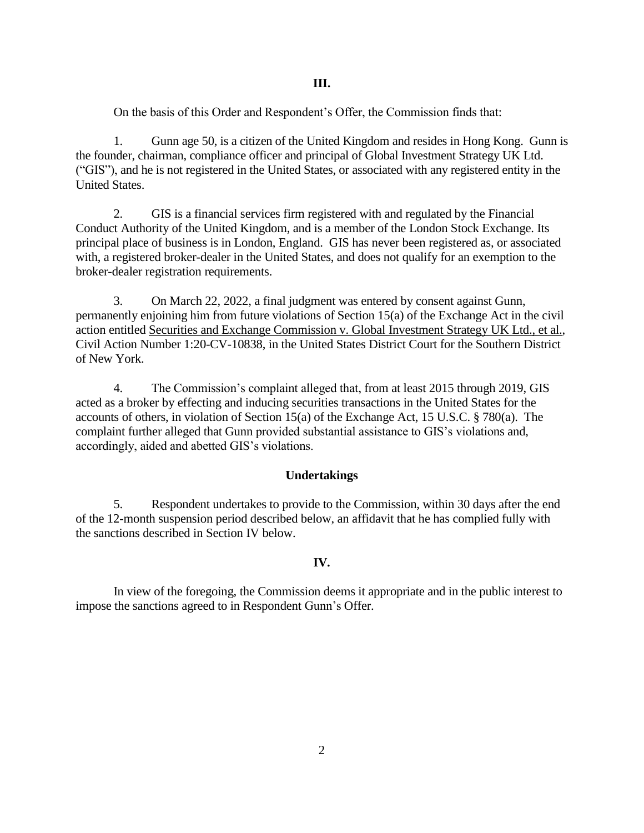On the basis of this Order and Respondent's Offer, the Commission finds that:

1. Gunn age 50, is a citizen of the United Kingdom and resides in Hong Kong. Gunn is the founder, chairman, compliance officer and principal of Global Investment Strategy UK Ltd. ("GIS"), and he is not registered in the United States, or associated with any registered entity in the United States.

2. GIS is a financial services firm registered with and regulated by the Financial Conduct Authority of the United Kingdom, and is a member of the London Stock Exchange. Its principal place of business is in London, England. GIS has never been registered as, or associated with, a registered broker-dealer in the United States, and does not qualify for an exemption to the broker-dealer registration requirements.

3. On March 22, 2022, a final judgment was entered by consent against Gunn, permanently enjoining him from future violations of Section 15(a) of the Exchange Act in the civil action entitled Securities and Exchange Commission v. Global Investment Strategy UK Ltd., et al., Civil Action Number 1:20-CV-10838, in the United States District Court for the Southern District of New York.

4. The Commission's complaint alleged that, from at least 2015 through 2019, GIS acted as a broker by effecting and inducing securities transactions in the United States for the accounts of others, in violation of Section 15(a) of the Exchange Act, 15 U.S.C. § 780(a). The complaint further alleged that Gunn provided substantial assistance to GIS's violations and, accordingly, aided and abetted GIS's violations.

## **Undertakings**

5. Respondent undertakes to provide to the Commission, within 30 days after the end of the 12-month suspension period described below, an affidavit that he has complied fully with the sanctions described in Section IV below.

## **IV.**

In view of the foregoing, the Commission deems it appropriate and in the public interest to impose the sanctions agreed to in Respondent Gunn's Offer.